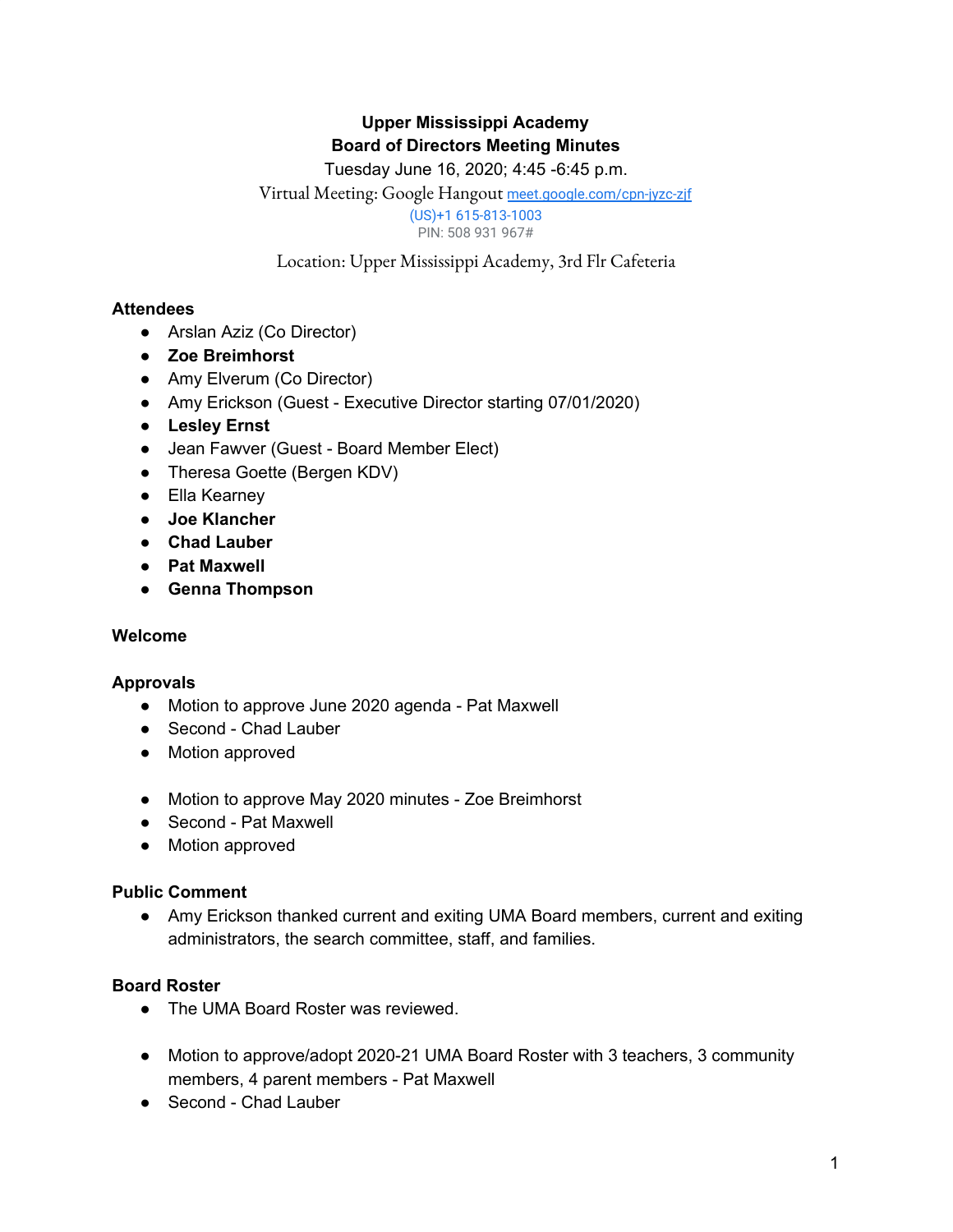# **Upper Mississippi Academy Board of Directors Meeting Minutes**

# Tuesday June 16, 2020; 4:45 -6:45 p.m.

Virtual Meeting: Google Hangout [meet.google.com/cpn-jyzc-zjf](https://meet.google.com/cpn-jyzc-zjf?hs=122)

(US)+1 615-813-1003

PIN: 508 931 967#

Location: Upper Mississippi Academy, 3rd Flr Cafeteria

#### **Attendees**

- Arslan Aziz (Co Director)
- **● Zoe Breimhorst**
- Amy Elverum (Co Director)
- Amy Erickson (Guest Executive Director starting 07/01/2020)
- **● Lesley Ernst**
- **●** Jean Fawver (Guest Board Member Elect)
- Theresa Goette (Bergen KDV)
- Ella Kearney
- **● Joe Klancher**
- **● Chad Lauber**
- **● Pat Maxwell**
- **● Genna Thompson**

#### **Welcome**

#### **Approvals**

- Motion to approve June 2020 agenda Pat Maxwell
- Second Chad Lauber
- Motion approved
- Motion to approve May 2020 minutes Zoe Breimhorst
- Second Pat Maxwell
- Motion approved

#### **Public Comment**

● Amy Erickson thanked current and exiting UMA Board members, current and exiting administrators, the search committee, staff, and families.

#### **Board Roster**

- The UMA Board Roster was reviewed.
- Motion to approve/adopt 2020-21 UMA Board Roster with 3 teachers, 3 community members, 4 parent members - Pat Maxwell
- Second Chad Lauber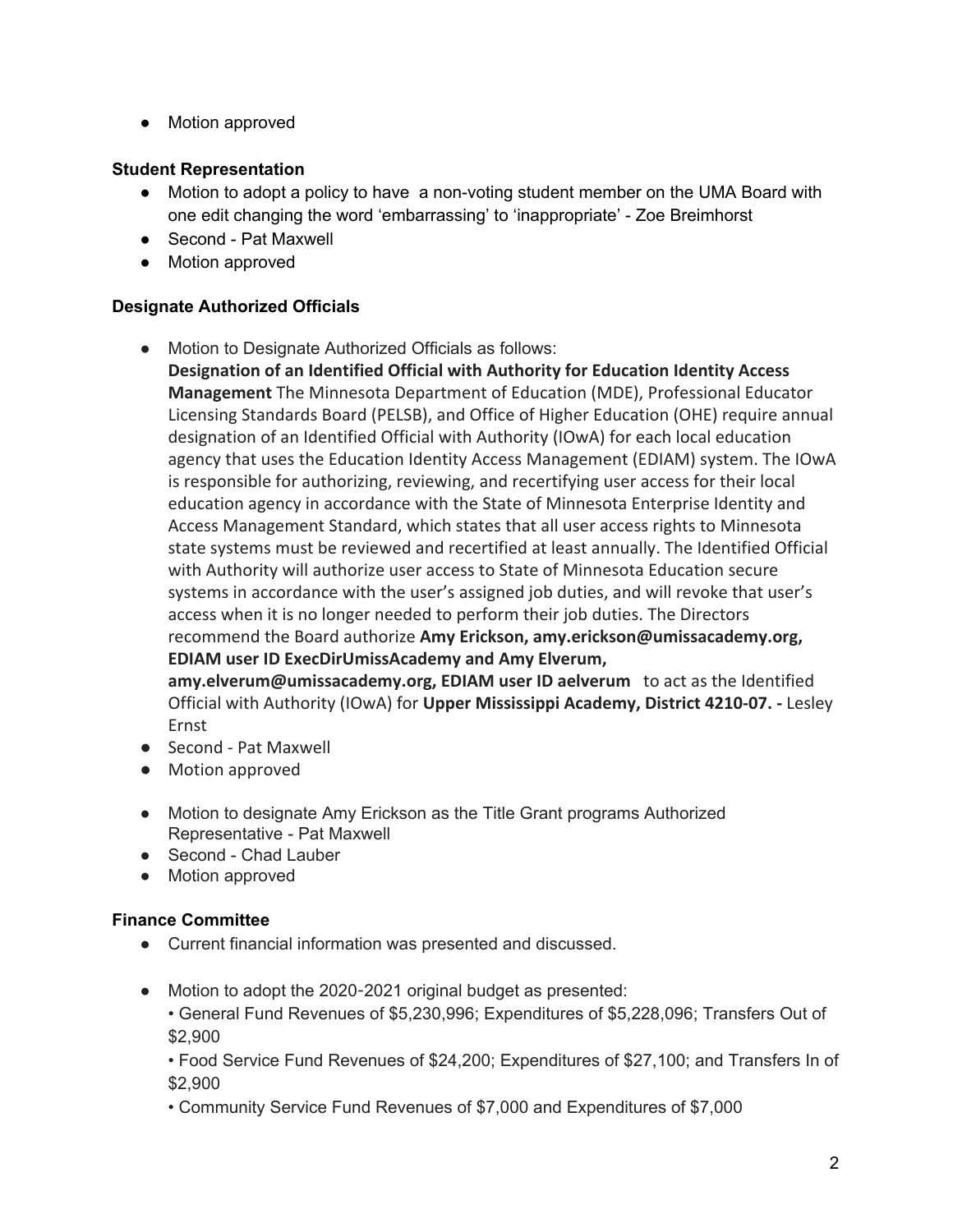● Motion approved

### **Student Representation**

- Motion to adopt a policy to have a non-voting student member on the UMA Board with one edit changing the word 'embarrassing' to 'inappropriate' - Zoe Breimhorst
- Second Pat Maxwell
- Motion approved

#### **Designate Authorized Officials**

● Motion to Designate Authorized Officials as follows:

**Designation of an Identified Official with Authority for Education Identity Access Management** The Minnesota Department of Education (MDE), Professional Educator Licensing Standards Board (PELSB), and Office of Higher Education (OHE) require annual designation of an Identified Official with Authority (IOwA) for each local education agency that uses the Education Identity Access Management (EDIAM) system. The IOwA is responsible for authorizing, reviewing, and recertifying user access for their local education agency in accordance with the State of Minnesota Enterprise Identity and Access Management Standard, which states that all user access rights to Minnesota state systems must be reviewed and recertified at least annually. The Identified Official with Authority will authorize user access to State of Minnesota Education secure systems in accordance with the user's assigned job duties, and will revoke that user's access when it is no longer needed to perform their job duties. The Directors recommend the Board authorize **Amy Erickson, amy.erickson@umissacademy.org, EDIAM user ID ExecDirUmissAcademy and Amy Elverum,**

**amy.elverum@umissacademy.org, EDIAM user ID aelverum** to act as the Identified Official with Authority (IOwA) for **Upper Mississippi Academy, District 4210-07. -** Lesley Ernst

- Second Pat Maxwell
- Motion approved
- Motion to designate Amy Erickson as the Title Grant programs Authorized Representative - Pat Maxwell
- Second Chad Lauber
- Motion approved

#### **Finance Committee**

- Current financial information was presented and discussed.
- Motion to adopt the 2020-2021 original budget as presented:
	- General Fund Revenues of \$5,230,996; Expenditures of \$5,228,096; Transfers Out of \$2,900

• Food Service Fund Revenues of \$24,200; Expenditures of \$27,100; and Transfers In of \$2,900

• Community Service Fund Revenues of \$7,000 and Expenditures of \$7,000